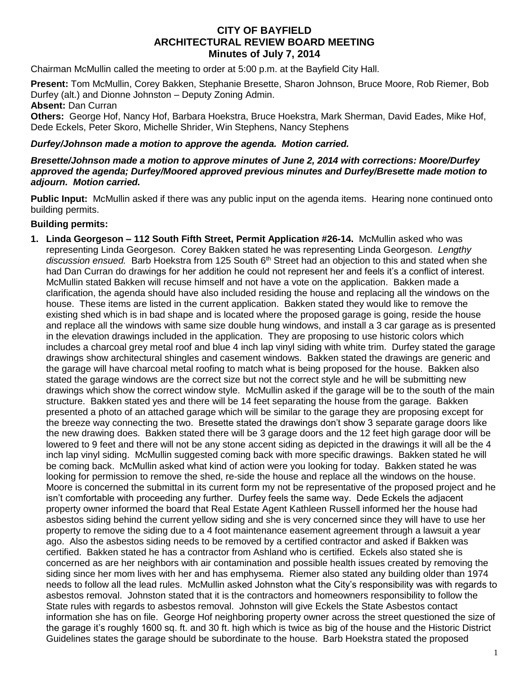# **CITY OF BAYFIELD ARCHITECTURAL REVIEW BOARD MEETING Minutes of July 7, 2014**

Chairman McMullin called the meeting to order at 5:00 p.m. at the Bayfield City Hall.

**Present:** Tom McMullin, Corey Bakken, Stephanie Bresette, Sharon Johnson, Bruce Moore, Rob Riemer, Bob Durfey (alt.) and Dionne Johnston – Deputy Zoning Admin.

### **Absent:** Dan Curran

**Others:** George Hof, Nancy Hof, Barbara Hoekstra, Bruce Hoekstra, Mark Sherman, David Eades, Mike Hof, Dede Eckels, Peter Skoro, Michelle Shrider, Win Stephens, Nancy Stephens

### *Durfey/Johnson made a motion to approve the agenda. Motion carried.*

#### *Bresette/Johnson made a motion to approve minutes of June 2, 2014 with corrections: Moore/Durfey approved the agenda; Durfey/Moored approved previous minutes and Durfey/Bresette made motion to adjourn. Motion carried.*

**Public Input:** McMullin asked if there was any public input on the agenda items. Hearing none continued onto building permits.

## **Building permits:**

**1. Linda Georgeson – 112 South Fifth Street, Permit Application #26-14.** McMullin asked who was representing Linda Georgeson. Corey Bakken stated he was representing Linda Georgeson. *Lengthy*  discussion ensued. Barb Hoekstra from 125 South 6<sup>th</sup> Street had an objection to this and stated when she had Dan Curran do drawings for her addition he could not represent her and feels it's a conflict of interest. McMullin stated Bakken will recuse himself and not have a vote on the application. Bakken made a clarification, the agenda should have also included residing the house and replacing all the windows on the house. These items are listed in the current application. Bakken stated they would like to remove the existing shed which is in bad shape and is located where the proposed garage is going, reside the house and replace all the windows with same size double hung windows, and install a 3 car garage as is presented in the elevation drawings included in the application. They are proposing to use historic colors which includes a charcoal grey metal roof and blue 4 inch lap vinyl siding with white trim. Durfey stated the garage drawings show architectural shingles and casement windows. Bakken stated the drawings are generic and the garage will have charcoal metal roofing to match what is being proposed for the house. Bakken also stated the garage windows are the correct size but not the correct style and he will be submitting new drawings which show the correct window style. McMullin asked if the garage will be to the south of the main structure. Bakken stated yes and there will be 14 feet separating the house from the garage. Bakken presented a photo of an attached garage which will be similar to the garage they are proposing except for the breeze way connecting the two. Bresette stated the drawings don't show 3 separate garage doors like the new drawing does. Bakken stated there will be 3 garage doors and the 12 feet high garage door will be lowered to 9 feet and there will not be any stone accent siding as depicted in the drawings it will all be the 4 inch lap vinyl siding. McMullin suggested coming back with more specific drawings. Bakken stated he will be coming back. McMullin asked what kind of action were you looking for today. Bakken stated he was looking for permission to remove the shed, re-side the house and replace all the windows on the house. Moore is concerned the submittal in its current form my not be representative of the proposed project and he isn't comfortable with proceeding any further. Durfey feels the same way. Dede Eckels the adjacent property owner informed the board that Real Estate Agent Kathleen Russell informed her the house had asbestos siding behind the current yellow siding and she is very concerned since they will have to use her property to remove the siding due to a 4 foot maintenance easement agreement through a lawsuit a year ago. Also the asbestos siding needs to be removed by a certified contractor and asked if Bakken was certified. Bakken stated he has a contractor from Ashland who is certified. Eckels also stated she is concerned as are her neighbors with air contamination and possible health issues created by removing the siding since her mom lives with her and has emphysema. Riemer also stated any building older than 1974 needs to follow all the lead rules. McMullin asked Johnston what the City's responsibility was with regards to asbestos removal. Johnston stated that it is the contractors and homeowners responsibility to follow the State rules with regards to asbestos removal. Johnston will give Eckels the State Asbestos contact information she has on file. George Hof neighboring property owner across the street questioned the size of the garage it's roughly 1600 sq. ft. and 30 ft. high which is twice as big of the house and the Historic District Guidelines states the garage should be subordinate to the house. Barb Hoekstra stated the proposed